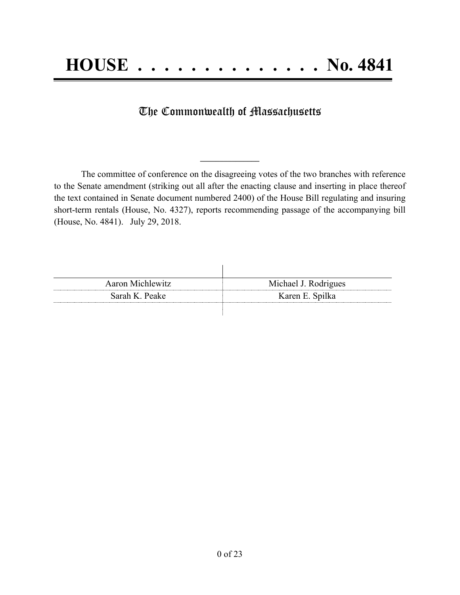## The Commonwealth of Massachusetts

The committee of conference on the disagreeing votes of the two branches with reference to the Senate amendment (striking out all after the enacting clause and inserting in place thereof the text contained in Senate document numbered 2400) of the House Bill regulating and insuring short-term rentals (House, No. 4327), reports recommending passage of the accompanying bill (House, No. 4841). July 29, 2018.

**\_\_\_\_\_\_\_\_\_\_\_\_\_\_\_**

| Aaron Michlewitz | Michael J. Rodrigues |
|------------------|----------------------|
| Sarah K. Peake   | Karen E. Spilka      |
|                  |                      |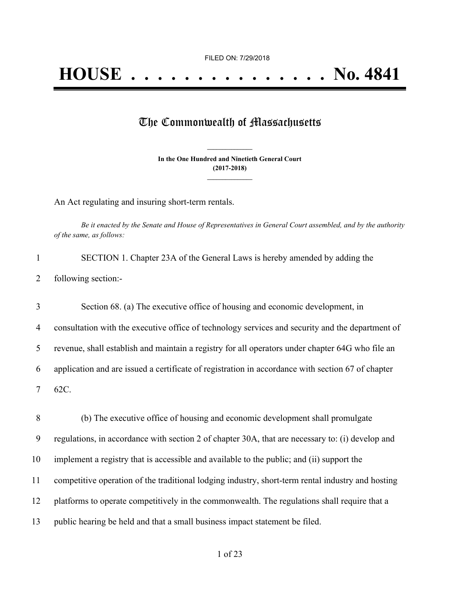## The Commonwealth of Massachusetts

**In the One Hundred and Ninetieth General Court (2017-2018) \_\_\_\_\_\_\_\_\_\_\_\_\_\_\_**

**\_\_\_\_\_\_\_\_\_\_\_\_\_\_\_**

An Act regulating and insuring short-term rentals.

Be it enacted by the Senate and House of Representatives in General Court assembled, and by the authority *of the same, as follows:*

| SECTION 1. Chapter 23A of the General Laws is hereby amended by adding the |
|----------------------------------------------------------------------------|
| 2 following section:-                                                      |

 Section 68. (a) The executive office of housing and economic development, in consultation with the executive office of technology services and security and the department of revenue, shall establish and maintain a registry for all operators under chapter 64G who file an application and are issued a certificate of registration in accordance with section 67 of chapter 7 62C.

 (b) The executive office of housing and economic development shall promulgate regulations, in accordance with section 2 of chapter 30A, that are necessary to: (i) develop and implement a registry that is accessible and available to the public; and (ii) support the competitive operation of the traditional lodging industry, short-term rental industry and hosting platforms to operate competitively in the commonwealth. The regulations shall require that a public hearing be held and that a small business impact statement be filed.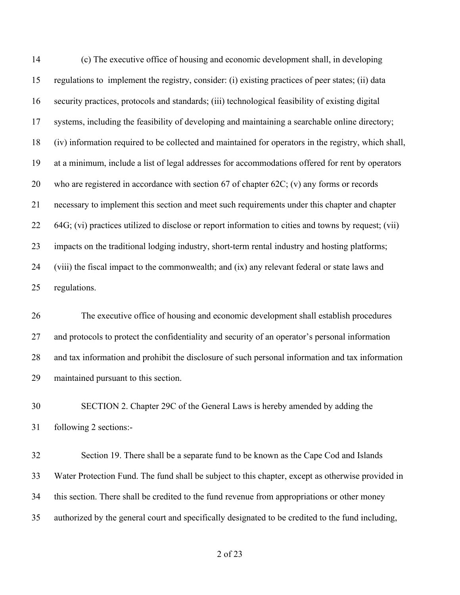(c) The executive office of housing and economic development shall, in developing regulations to implement the registry, consider: (i) existing practices of peer states; (ii) data security practices, protocols and standards; (iii) technological feasibility of existing digital systems, including the feasibility of developing and maintaining a searchable online directory; (iv) information required to be collected and maintained for operators in the registry, which shall, at a minimum, include a list of legal addresses for accommodations offered for rent by operators who are registered in accordance with section 67 of chapter 62C; (v) any forms or records necessary to implement this section and meet such requirements under this chapter and chapter 64G; (vi) practices utilized to disclose or report information to cities and towns by request; (vii) impacts on the traditional lodging industry, short-term rental industry and hosting platforms; (viii) the fiscal impact to the commonwealth; and (ix) any relevant federal or state laws and regulations.

 The executive office of housing and economic development shall establish procedures and protocols to protect the confidentiality and security of an operator's personal information and tax information and prohibit the disclosure of such personal information and tax information maintained pursuant to this section.

 SECTION 2. Chapter 29C of the General Laws is hereby amended by adding the following 2 sections:-

 Section 19. There shall be a separate fund to be known as the Cape Cod and Islands Water Protection Fund. The fund shall be subject to this chapter, except as otherwise provided in this section. There shall be credited to the fund revenue from appropriations or other money authorized by the general court and specifically designated to be credited to the fund including,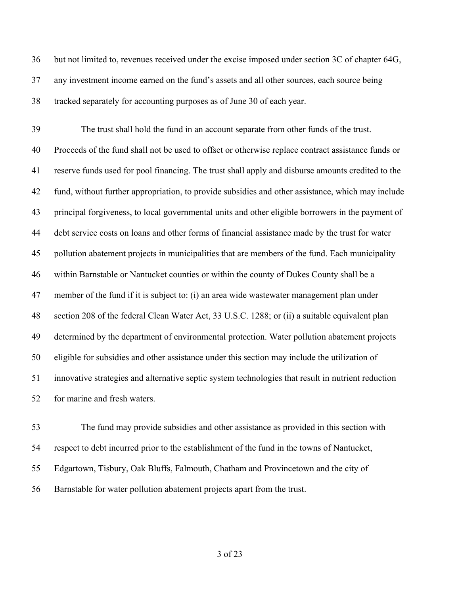but not limited to, revenues received under the excise imposed under section 3C of chapter 64G, any investment income earned on the fund's assets and all other sources, each source being tracked separately for accounting purposes as of June 30 of each year.

 The trust shall hold the fund in an account separate from other funds of the trust. Proceeds of the fund shall not be used to offset or otherwise replace contract assistance funds or reserve funds used for pool financing. The trust shall apply and disburse amounts credited to the fund, without further appropriation, to provide subsidies and other assistance, which may include principal forgiveness, to local governmental units and other eligible borrowers in the payment of debt service costs on loans and other forms of financial assistance made by the trust for water pollution abatement projects in municipalities that are members of the fund. Each municipality within Barnstable or Nantucket counties or within the county of Dukes County shall be a member of the fund if it is subject to: (i) an area wide wastewater management plan under section 208 of the federal Clean Water Act, 33 U.S.C. 1288; or (ii) a suitable equivalent plan determined by the department of environmental protection. Water pollution abatement projects eligible for subsidies and other assistance under this section may include the utilization of innovative strategies and alternative septic system technologies that result in nutrient reduction for marine and fresh waters.

 The fund may provide subsidies and other assistance as provided in this section with respect to debt incurred prior to the establishment of the fund in the towns of Nantucket, Edgartown, Tisbury, Oak Bluffs, Falmouth, Chatham and Provincetown and the city of Barnstable for water pollution abatement projects apart from the trust.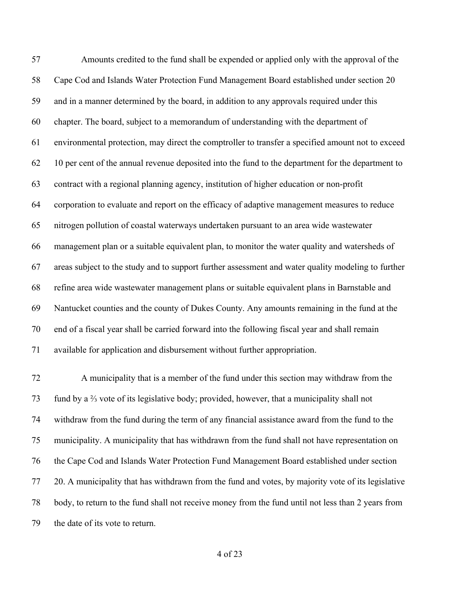Amounts credited to the fund shall be expended or applied only with the approval of the Cape Cod and Islands Water Protection Fund Management Board established under section 20 and in a manner determined by the board, in addition to any approvals required under this chapter. The board, subject to a memorandum of understanding with the department of environmental protection, may direct the comptroller to transfer a specified amount not to exceed 10 per cent of the annual revenue deposited into the fund to the department for the department to contract with a regional planning agency, institution of higher education or non-profit corporation to evaluate and report on the efficacy of adaptive management measures to reduce nitrogen pollution of coastal waterways undertaken pursuant to an area wide wastewater management plan or a suitable equivalent plan, to monitor the water quality and watersheds of areas subject to the study and to support further assessment and water quality modeling to further refine area wide wastewater management plans or suitable equivalent plans in Barnstable and Nantucket counties and the county of Dukes County. Any amounts remaining in the fund at the end of a fiscal year shall be carried forward into the following fiscal year and shall remain available for application and disbursement without further appropriation.

 A municipality that is a member of the fund under this section may withdraw from the fund by a ⅔ vote of its legislative body; provided, however, that a municipality shall not withdraw from the fund during the term of any financial assistance award from the fund to the municipality. A municipality that has withdrawn from the fund shall not have representation on the Cape Cod and Islands Water Protection Fund Management Board established under section 20. A municipality that has withdrawn from the fund and votes, by majority vote of its legislative body, to return to the fund shall not receive money from the fund until not less than 2 years from the date of its vote to return.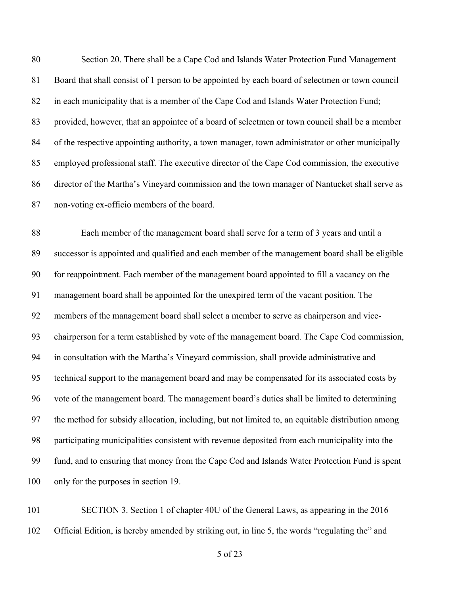Section 20. There shall be a Cape Cod and Islands Water Protection Fund Management Board that shall consist of 1 person to be appointed by each board of selectmen or town council in each municipality that is a member of the Cape Cod and Islands Water Protection Fund; provided, however, that an appointee of a board of selectmen or town council shall be a member 84 of the respective appointing authority, a town manager, town administrator or other municipally employed professional staff. The executive director of the Cape Cod commission, the executive director of the Martha's Vineyard commission and the town manager of Nantucket shall serve as non-voting ex-officio members of the board.

 Each member of the management board shall serve for a term of 3 years and until a successor is appointed and qualified and each member of the management board shall be eligible for reappointment. Each member of the management board appointed to fill a vacancy on the management board shall be appointed for the unexpired term of the vacant position. The members of the management board shall select a member to serve as chairperson and vice- chairperson for a term established by vote of the management board. The Cape Cod commission, in consultation with the Martha's Vineyard commission, shall provide administrative and technical support to the management board and may be compensated for its associated costs by vote of the management board. The management board's duties shall be limited to determining the method for subsidy allocation, including, but not limited to, an equitable distribution among participating municipalities consistent with revenue deposited from each municipality into the fund, and to ensuring that money from the Cape Cod and Islands Water Protection Fund is spent 100 only for the purposes in section 19.

 SECTION 3. Section 1 of chapter 40U of the General Laws, as appearing in the 2016 Official Edition, is hereby amended by striking out, in line 5, the words "regulating the" and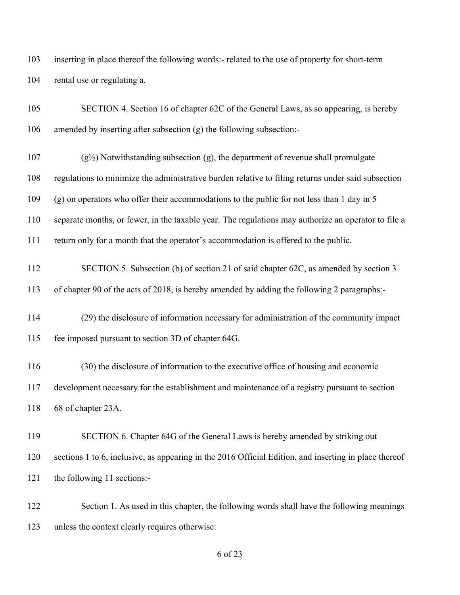inserting in place thereof the following words:- related to the use of property for short-term rental use or regulating a.

| 105 | SECTION 4. Section 16 of chapter 62C of the General Laws, as so appearing, is hereby                  |
|-----|-------------------------------------------------------------------------------------------------------|
| 106 | amended by inserting after subsection (g) the following subsection:-                                  |
| 107 | $(g1\angle)$ Notwithstanding subsection (g), the department of revenue shall promulgate               |
| 108 | regulations to minimize the administrative burden relative to filing returns under said subsection    |
| 109 | (g) on operators who offer their accommodations to the public for not less than 1 day in 5            |
| 110 | separate months, or fewer, in the taxable year. The regulations may authorize an operator to file a   |
| 111 | return only for a month that the operator's accommodation is offered to the public.                   |
| 112 | SECTION 5. Subsection (b) of section 21 of said chapter 62C, as amended by section 3                  |
| 113 | of chapter 90 of the acts of 2018, is hereby amended by adding the following 2 paragraphs:-           |
| 114 | (29) the disclosure of information necessary for administration of the community impact               |
| 115 | fee imposed pursuant to section 3D of chapter 64G.                                                    |
| 116 | (30) the disclosure of information to the executive office of housing and economic                    |
| 117 | development necessary for the establishment and maintenance of a registry pursuant to section         |
| 118 | 68 of chapter 23A.                                                                                    |
| 119 | SECTION 6. Chapter 64G of the General Laws is hereby amended by striking out                          |
| 120 | sections 1 to 6, inclusive, as appearing in the 2016 Official Edition, and inserting in place thereof |
| 121 | the following 11 sections:-                                                                           |
| 122 | Section 1. As used in this chapter, the following words shall have the following meanings             |

unless the context clearly requires otherwise: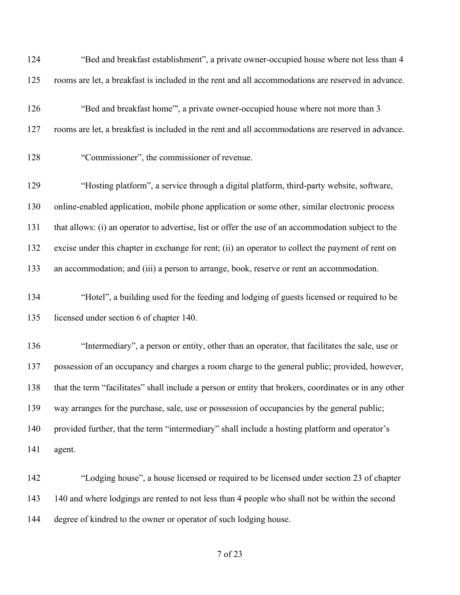| 124 | "Bed and breakfast establishment", a private owner-occupied house where not less than 4                |
|-----|--------------------------------------------------------------------------------------------------------|
| 125 | rooms are let, a breakfast is included in the rent and all accommodations are reserved in advance.     |
| 126 | "Bed and breakfast home", a private owner-occupied house where not more than 3                         |
| 127 | rooms are let, a breakfast is included in the rent and all accommodations are reserved in advance.     |
| 128 | "Commissioner", the commissioner of revenue.                                                           |
| 129 | "Hosting platform", a service through a digital platform, third-party website, software,               |
| 130 | online-enabled application, mobile phone application or some other, similar electronic process         |
| 131 | that allows: (i) an operator to advertise, list or offer the use of an accommodation subject to the    |
| 132 | excise under this chapter in exchange for rent; (ii) an operator to collect the payment of rent on     |
| 133 | an accommodation; and (iii) a person to arrange, book, reserve or rent an accommodation.               |
| 134 | "Hotel", a building used for the feeding and lodging of guests licensed or required to be              |
| 135 | licensed under section 6 of chapter 140.                                                               |
| 136 | "Intermediary", a person or entity, other than an operator, that facilitates the sale, use or          |
| 137 | possession of an occupancy and charges a room charge to the general public; provided, however,         |
| 138 | that the term "facilitates" shall include a person or entity that brokers, coordinates or in any other |
| 139 | way arranges for the purchase, sale, use or possession of occupancies by the general public;           |
| 140 | provided further, that the term "intermediary" shall include a hosting platform and operator's         |
| 141 | agent.                                                                                                 |
| 142 | "Lodging house", a house licensed or required to be licensed under section 23 of chapter               |
| 143 | 140 and where lodgings are rented to not less than 4 people who shall not be within the second         |
| 144 | degree of kindred to the owner or operator of such lodging house.                                      |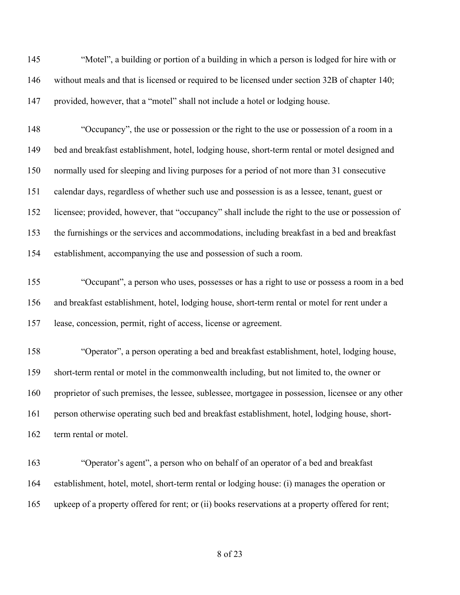"Motel", a building or portion of a building in which a person is lodged for hire with or without meals and that is licensed or required to be licensed under section 32B of chapter 140; provided, however, that a "motel" shall not include a hotel or lodging house.

 "Occupancy", the use or possession or the right to the use or possession of a room in a bed and breakfast establishment, hotel, lodging house, short-term rental or motel designed and normally used for sleeping and living purposes for a period of not more than 31 consecutive calendar days, regardless of whether such use and possession is as a lessee, tenant, guest or licensee; provided, however, that "occupancy" shall include the right to the use or possession of the furnishings or the services and accommodations, including breakfast in a bed and breakfast establishment, accompanying the use and possession of such a room.

 "Occupant", a person who uses, possesses or has a right to use or possess a room in a bed and breakfast establishment, hotel, lodging house, short-term rental or motel for rent under a lease, concession, permit, right of access, license or agreement.

 "Operator", a person operating a bed and breakfast establishment, hotel, lodging house, short-term rental or motel in the commonwealth including, but not limited to, the owner or proprietor of such premises, the lessee, sublessee, mortgagee in possession, licensee or any other person otherwise operating such bed and breakfast establishment, hotel, lodging house, short-162 term rental or motel.

 "Operator's agent", a person who on behalf of an operator of a bed and breakfast establishment, hotel, motel, short-term rental or lodging house: (i) manages the operation or upkeep of a property offered for rent; or (ii) books reservations at a property offered for rent;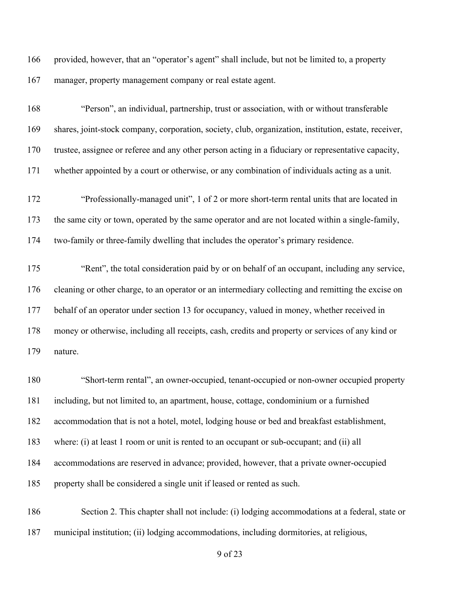provided, however, that an "operator's agent" shall include, but not be limited to, a property manager, property management company or real estate agent.

 "Person", an individual, partnership, trust or association, with or without transferable shares, joint-stock company, corporation, society, club, organization, institution, estate, receiver, trustee, assignee or referee and any other person acting in a fiduciary or representative capacity, whether appointed by a court or otherwise, or any combination of individuals acting as a unit.

 "Professionally-managed unit", 1 of 2 or more short-term rental units that are located in the same city or town, operated by the same operator and are not located within a single-family, two-family or three-family dwelling that includes the operator's primary residence.

 "Rent", the total consideration paid by or on behalf of an occupant, including any service, cleaning or other charge, to an operator or an intermediary collecting and remitting the excise on 177 behalf of an operator under section 13 for occupancy, valued in money, whether received in money or otherwise, including all receipts, cash, credits and property or services of any kind or nature.

 "Short-term rental", an owner-occupied, tenant-occupied or non-owner occupied property including, but not limited to, an apartment, house, cottage, condominium or a furnished accommodation that is not a hotel, motel, lodging house or bed and breakfast establishment, 183 where: (i) at least 1 room or unit is rented to an occupant or sub-occupant; and (ii) all accommodations are reserved in advance; provided, however, that a private owner-occupied property shall be considered a single unit if leased or rented as such.

 Section 2. This chapter shall not include: (i) lodging accommodations at a federal, state or municipal institution; (ii) lodging accommodations, including dormitories, at religious,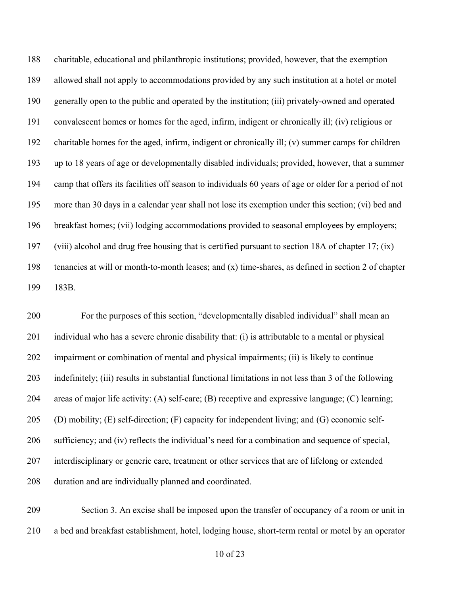charitable, educational and philanthropic institutions; provided, however, that the exemption allowed shall not apply to accommodations provided by any such institution at a hotel or motel generally open to the public and operated by the institution; (iii) privately-owned and operated convalescent homes or homes for the aged, infirm, indigent or chronically ill; (iv) religious or charitable homes for the aged, infirm, indigent or chronically ill; (v) summer camps for children up to 18 years of age or developmentally disabled individuals; provided, however, that a summer camp that offers its facilities off season to individuals 60 years of age or older for a period of not more than 30 days in a calendar year shall not lose its exemption under this section; (vi) bed and breakfast homes; (vii) lodging accommodations provided to seasonal employees by employers; (viii) alcohol and drug free housing that is certified pursuant to section 18A of chapter 17; (ix) tenancies at will or month-to-month leases; and (x) time-shares, as defined in section 2 of chapter 183B.

 For the purposes of this section, "developmentally disabled individual" shall mean an individual who has a severe chronic disability that: (i) is attributable to a mental or physical impairment or combination of mental and physical impairments; (ii) is likely to continue indefinitely; (iii) results in substantial functional limitations in not less than 3 of the following areas of major life activity: (A) self-care; (B) receptive and expressive language; (C) learning; (D) mobility; (E) self-direction; (F) capacity for independent living; and (G) economic self- sufficiency; and (iv) reflects the individual's need for a combination and sequence of special, interdisciplinary or generic care, treatment or other services that are of lifelong or extended duration and are individually planned and coordinated.

 Section 3. An excise shall be imposed upon the transfer of occupancy of a room or unit in a bed and breakfast establishment, hotel, lodging house, short-term rental or motel by an operator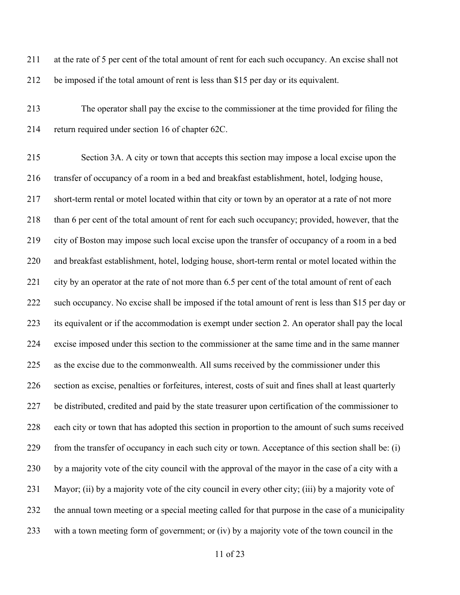| 211 | at the rate of 5 per cent of the total amount of rent for each such occupancy. An excise shall not      |
|-----|---------------------------------------------------------------------------------------------------------|
| 212 | be imposed if the total amount of rent is less than \$15 per day or its equivalent.                     |
| 213 | The operator shall pay the excise to the commissioner at the time provided for filing the               |
| 214 | return required under section 16 of chapter 62C.                                                        |
| 215 | Section 3A. A city or town that accepts this section may impose a local excise upon the                 |
| 216 | transfer of occupancy of a room in a bed and breakfast establishment, hotel, lodging house,             |
| 217 | short-term rental or motel located within that city or town by an operator at a rate of not more        |
| 218 | than 6 per cent of the total amount of rent for each such occupancy; provided, however, that the        |
| 219 | city of Boston may impose such local excise upon the transfer of occupancy of a room in a bed           |
| 220 | and breakfast establishment, hotel, lodging house, short-term rental or motel located within the        |
| 221 | city by an operator at the rate of not more than 6.5 per cent of the total amount of rent of each       |
| 222 | such occupancy. No excise shall be imposed if the total amount of rent is less than \$15 per day or     |
| 223 | its equivalent or if the accommodation is exempt under section 2. An operator shall pay the local       |
| 224 | excise imposed under this section to the commissioner at the same time and in the same manner           |
| 225 | as the excise due to the commonwealth. All sums received by the commissioner under this                 |
| 226 | section as excise, penalties or forfeitures, interest, costs of suit and fines shall at least quarterly |
| 227 | be distributed, credited and paid by the state treasurer upon certification of the commissioner to      |
| 228 | each city or town that has adopted this section in proportion to the amount of such sums received       |
| 229 | from the transfer of occupancy in each such city or town. Acceptance of this section shall be: (i)      |
| 230 | by a majority vote of the city council with the approval of the mayor in the case of a city with a      |
| 231 | Mayor; (ii) by a majority vote of the city council in every other city; (iii) by a majority vote of     |
| 232 | the annual town meeting or a special meeting called for that purpose in the case of a municipality      |
| 233 | with a town meeting form of government; or (iv) by a majority vote of the town council in the           |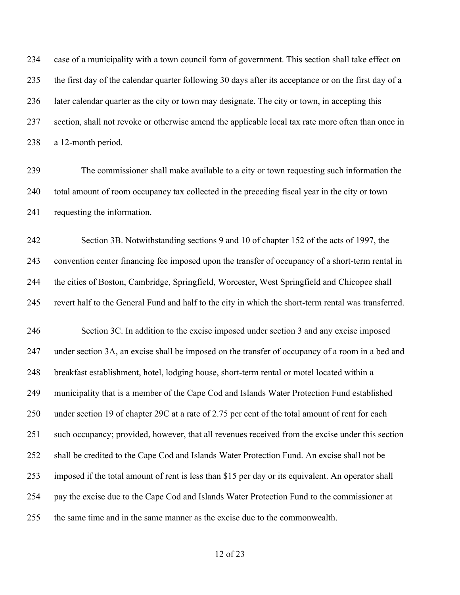case of a municipality with a town council form of government. This section shall take effect on the first day of the calendar quarter following 30 days after its acceptance or on the first day of a later calendar quarter as the city or town may designate. The city or town, in accepting this section, shall not revoke or otherwise amend the applicable local tax rate more often than once in a 12-month period.

 The commissioner shall make available to a city or town requesting such information the total amount of room occupancy tax collected in the preceding fiscal year in the city or town requesting the information.

 Section 3B. Notwithstanding sections 9 and 10 of chapter 152 of the acts of 1997, the convention center financing fee imposed upon the transfer of occupancy of a short-term rental in the cities of Boston, Cambridge, Springfield, Worcester, West Springfield and Chicopee shall revert half to the General Fund and half to the city in which the short-term rental was transferred.

 Section 3C. In addition to the excise imposed under section 3 and any excise imposed under section 3A, an excise shall be imposed on the transfer of occupancy of a room in a bed and breakfast establishment, hotel, lodging house, short-term rental or motel located within a municipality that is a member of the Cape Cod and Islands Water Protection Fund established under section 19 of chapter 29C at a rate of 2.75 per cent of the total amount of rent for each such occupancy; provided, however, that all revenues received from the excise under this section shall be credited to the Cape Cod and Islands Water Protection Fund. An excise shall not be imposed if the total amount of rent is less than \$15 per day or its equivalent. An operator shall pay the excise due to the Cape Cod and Islands Water Protection Fund to the commissioner at the same time and in the same manner as the excise due to the commonwealth.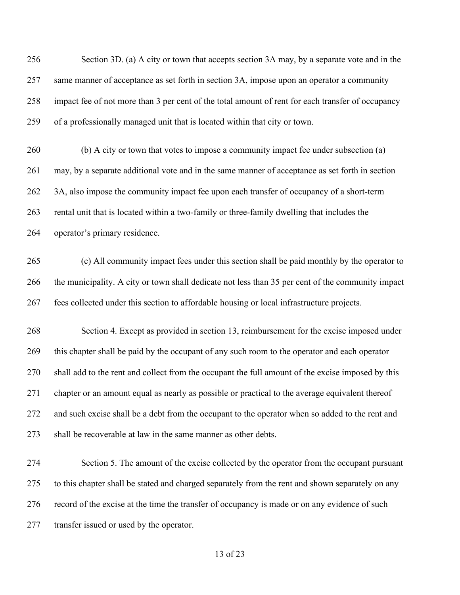Section 3D. (a) A city or town that accepts section 3A may, by a separate vote and in the same manner of acceptance as set forth in section 3A, impose upon an operator a community impact fee of not more than 3 per cent of the total amount of rent for each transfer of occupancy of a professionally managed unit that is located within that city or town.

 (b) A city or town that votes to impose a community impact fee under subsection (a) may, by a separate additional vote and in the same manner of acceptance as set forth in section 262 3A, also impose the community impact fee upon each transfer of occupancy of a short-term rental unit that is located within a two-family or three-family dwelling that includes the operator's primary residence.

 (c) All community impact fees under this section shall be paid monthly by the operator to the municipality. A city or town shall dedicate not less than 35 per cent of the community impact fees collected under this section to affordable housing or local infrastructure projects.

 Section 4. Except as provided in section 13, reimbursement for the excise imposed under this chapter shall be paid by the occupant of any such room to the operator and each operator shall add to the rent and collect from the occupant the full amount of the excise imposed by this chapter or an amount equal as nearly as possible or practical to the average equivalent thereof 272 and such excise shall be a debt from the occupant to the operator when so added to the rent and shall be recoverable at law in the same manner as other debts.

 Section 5. The amount of the excise collected by the operator from the occupant pursuant to this chapter shall be stated and charged separately from the rent and shown separately on any record of the excise at the time the transfer of occupancy is made or on any evidence of such transfer issued or used by the operator.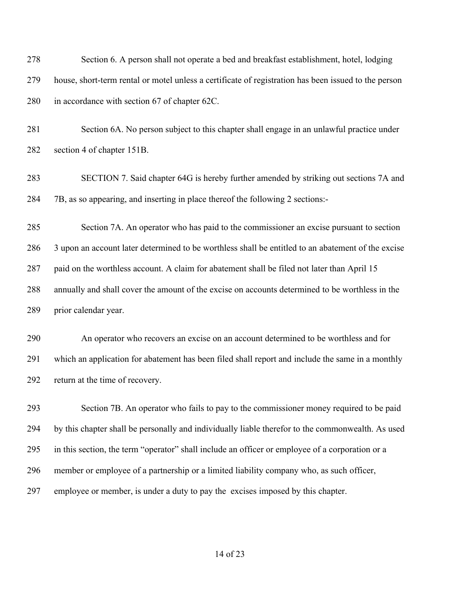Section 6. A person shall not operate a bed and breakfast establishment, hotel, lodging house, short-term rental or motel unless a certificate of registration has been issued to the person in accordance with section 67 of chapter 62C.

 Section 6A. No person subject to this chapter shall engage in an unlawful practice under section 4 of chapter 151B.

 SECTION 7. Said chapter 64G is hereby further amended by striking out sections 7A and 7B, as so appearing, and inserting in place thereof the following 2 sections:-

 Section 7A. An operator who has paid to the commissioner an excise pursuant to section 3 upon an account later determined to be worthless shall be entitled to an abatement of the excise paid on the worthless account. A claim for abatement shall be filed not later than April 15 annually and shall cover the amount of the excise on accounts determined to be worthless in the prior calendar year.

 An operator who recovers an excise on an account determined to be worthless and for which an application for abatement has been filed shall report and include the same in a monthly return at the time of recovery.

 Section 7B. An operator who fails to pay to the commissioner money required to be paid by this chapter shall be personally and individually liable therefor to the commonwealth. As used in this section, the term "operator" shall include an officer or employee of a corporation or a member or employee of a partnership or a limited liability company who, as such officer, employee or member, is under a duty to pay the excises imposed by this chapter.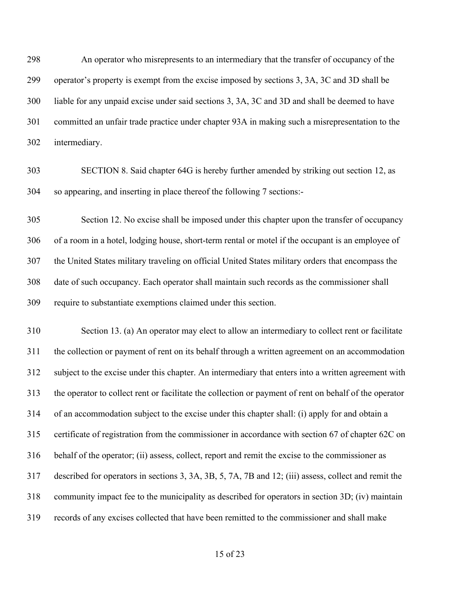An operator who misrepresents to an intermediary that the transfer of occupancy of the operator's property is exempt from the excise imposed by sections 3, 3A, 3C and 3D shall be liable for any unpaid excise under said sections 3, 3A, 3C and 3D and shall be deemed to have committed an unfair trade practice under chapter 93A in making such a misrepresentation to the intermediary.

 SECTION 8. Said chapter 64G is hereby further amended by striking out section 12, as so appearing, and inserting in place thereof the following 7 sections:-

 Section 12. No excise shall be imposed under this chapter upon the transfer of occupancy of a room in a hotel, lodging house, short-term rental or motel if the occupant is an employee of the United States military traveling on official United States military orders that encompass the date of such occupancy. Each operator shall maintain such records as the commissioner shall require to substantiate exemptions claimed under this section.

 Section 13. (a) An operator may elect to allow an intermediary to collect rent or facilitate the collection or payment of rent on its behalf through a written agreement on an accommodation subject to the excise under this chapter. An intermediary that enters into a written agreement with the operator to collect rent or facilitate the collection or payment of rent on behalf of the operator of an accommodation subject to the excise under this chapter shall: (i) apply for and obtain a certificate of registration from the commissioner in accordance with section 67 of chapter 62C on behalf of the operator; (ii) assess, collect, report and remit the excise to the commissioner as described for operators in sections 3, 3A, 3B, 5, 7A, 7B and 12; (iii) assess, collect and remit the community impact fee to the municipality as described for operators in section 3D; (iv) maintain records of any excises collected that have been remitted to the commissioner and shall make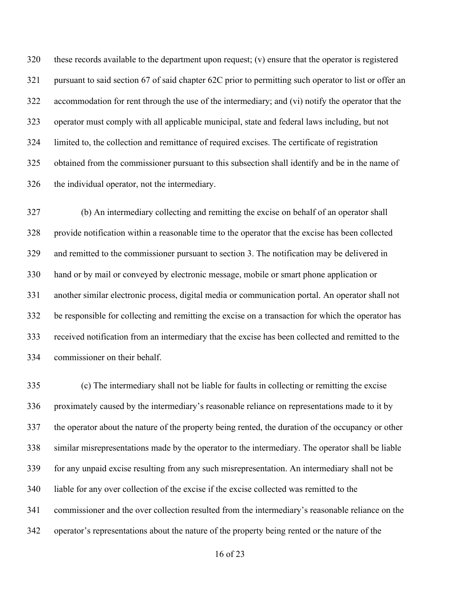these records available to the department upon request; (v) ensure that the operator is registered pursuant to said section 67 of said chapter 62C prior to permitting such operator to list or offer an accommodation for rent through the use of the intermediary; and (vi) notify the operator that the operator must comply with all applicable municipal, state and federal laws including, but not limited to, the collection and remittance of required excises. The certificate of registration obtained from the commissioner pursuant to this subsection shall identify and be in the name of the individual operator, not the intermediary.

 (b) An intermediary collecting and remitting the excise on behalf of an operator shall provide notification within a reasonable time to the operator that the excise has been collected and remitted to the commissioner pursuant to section 3. The notification may be delivered in hand or by mail or conveyed by electronic message, mobile or smart phone application or another similar electronic process, digital media or communication portal. An operator shall not be responsible for collecting and remitting the excise on a transaction for which the operator has received notification from an intermediary that the excise has been collected and remitted to the commissioner on their behalf.

 (c) The intermediary shall not be liable for faults in collecting or remitting the excise proximately caused by the intermediary's reasonable reliance on representations made to it by the operator about the nature of the property being rented, the duration of the occupancy or other similar misrepresentations made by the operator to the intermediary. The operator shall be liable for any unpaid excise resulting from any such misrepresentation. An intermediary shall not be liable for any over collection of the excise if the excise collected was remitted to the commissioner and the over collection resulted from the intermediary's reasonable reliance on the operator's representations about the nature of the property being rented or the nature of the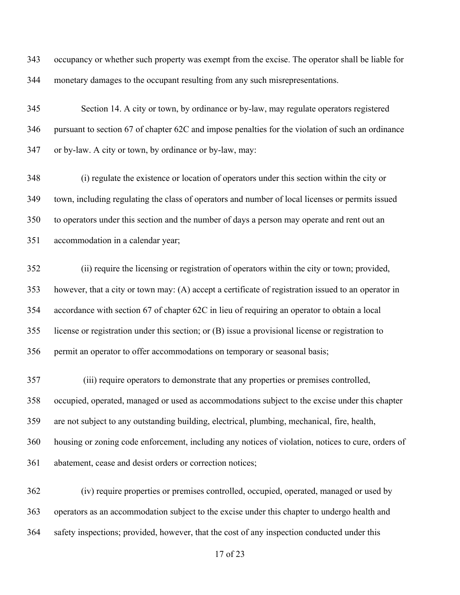occupancy or whether such property was exempt from the excise. The operator shall be liable for monetary damages to the occupant resulting from any such misrepresentations.

 Section 14. A city or town, by ordinance or by-law, may regulate operators registered pursuant to section 67 of chapter 62C and impose penalties for the violation of such an ordinance or by-law. A city or town, by ordinance or by-law, may:

 (i) regulate the existence or location of operators under this section within the city or town, including regulating the class of operators and number of local licenses or permits issued to operators under this section and the number of days a person may operate and rent out an accommodation in a calendar year;

 (ii) require the licensing or registration of operators within the city or town; provided, however, that a city or town may: (A) accept a certificate of registration issued to an operator in accordance with section 67 of chapter 62C in lieu of requiring an operator to obtain a local license or registration under this section; or (B) issue a provisional license or registration to permit an operator to offer accommodations on temporary or seasonal basis;

 (iii) require operators to demonstrate that any properties or premises controlled, occupied, operated, managed or used as accommodations subject to the excise under this chapter are not subject to any outstanding building, electrical, plumbing, mechanical, fire, health, housing or zoning code enforcement, including any notices of violation, notices to cure, orders of abatement, cease and desist orders or correction notices;

 (iv) require properties or premises controlled, occupied, operated, managed or used by operators as an accommodation subject to the excise under this chapter to undergo health and safety inspections; provided, however, that the cost of any inspection conducted under this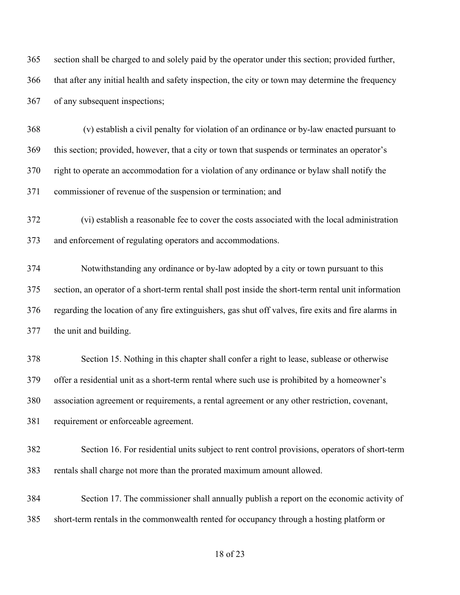section shall be charged to and solely paid by the operator under this section; provided further, that after any initial health and safety inspection, the city or town may determine the frequency of any subsequent inspections;

 (v) establish a civil penalty for violation of an ordinance or by-law enacted pursuant to this section; provided, however, that a city or town that suspends or terminates an operator's right to operate an accommodation for a violation of any ordinance or bylaw shall notify the commissioner of revenue of the suspension or termination; and

 (vi) establish a reasonable fee to cover the costs associated with the local administration and enforcement of regulating operators and accommodations.

 Notwithstanding any ordinance or by-law adopted by a city or town pursuant to this section, an operator of a short-term rental shall post inside the short-term rental unit information regarding the location of any fire extinguishers, gas shut off valves, fire exits and fire alarms in the unit and building.

 Section 15. Nothing in this chapter shall confer a right to lease, sublease or otherwise offer a residential unit as a short-term rental where such use is prohibited by a homeowner's association agreement or requirements, a rental agreement or any other restriction, covenant, requirement or enforceable agreement.

 Section 16. For residential units subject to rent control provisions, operators of short-term rentals shall charge not more than the prorated maximum amount allowed.

 Section 17. The commissioner shall annually publish a report on the economic activity of short-term rentals in the commonwealth rented for occupancy through a hosting platform or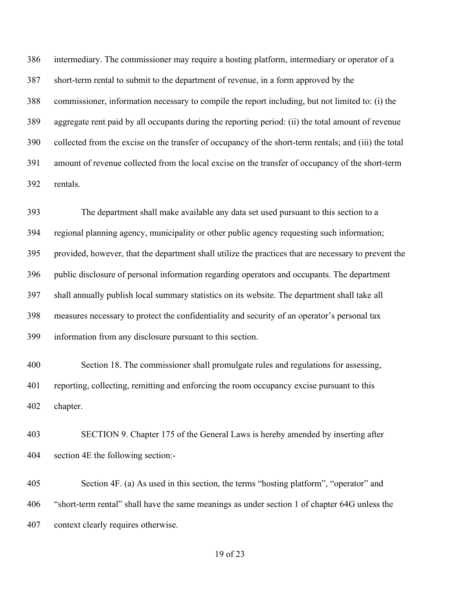intermediary. The commissioner may require a hosting platform, intermediary or operator of a short-term rental to submit to the department of revenue, in a form approved by the commissioner, information necessary to compile the report including, but not limited to: (i) the aggregate rent paid by all occupants during the reporting period: (ii) the total amount of revenue collected from the excise on the transfer of occupancy of the short-term rentals; and (iii) the total amount of revenue collected from the local excise on the transfer of occupancy of the short-term rentals.

 The department shall make available any data set used pursuant to this section to a regional planning agency, municipality or other public agency requesting such information; provided, however, that the department shall utilize the practices that are necessary to prevent the public disclosure of personal information regarding operators and occupants. The department shall annually publish local summary statistics on its website. The department shall take all measures necessary to protect the confidentiality and security of an operator's personal tax information from any disclosure pursuant to this section.

 Section 18. The commissioner shall promulgate rules and regulations for assessing, reporting, collecting, remitting and enforcing the room occupancy excise pursuant to this chapter.

 SECTION 9. Chapter 175 of the General Laws is hereby amended by inserting after section 4E the following section:-

 Section 4F. (a) As used in this section, the terms "hosting platform", "operator" and "short-term rental" shall have the same meanings as under section 1 of chapter 64G unless the context clearly requires otherwise.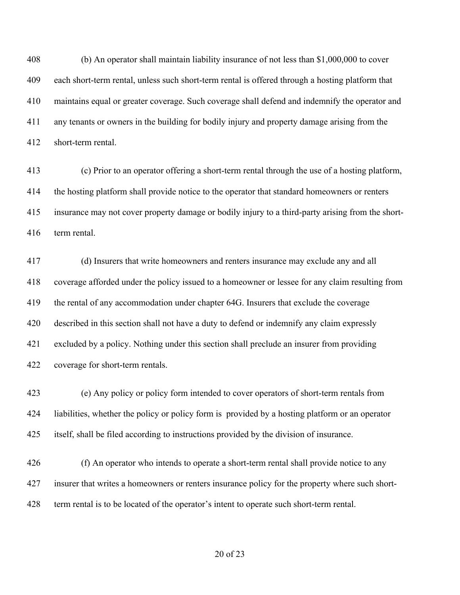(b) An operator shall maintain liability insurance of not less than \$1,000,000 to cover each short-term rental, unless such short-term rental is offered through a hosting platform that maintains equal or greater coverage. Such coverage shall defend and indemnify the operator and any tenants or owners in the building for bodily injury and property damage arising from the short-term rental.

 (c) Prior to an operator offering a short-term rental through the use of a hosting platform, the hosting platform shall provide notice to the operator that standard homeowners or renters insurance may not cover property damage or bodily injury to a third-party arising from the short-term rental.

 (d) Insurers that write homeowners and renters insurance may exclude any and all coverage afforded under the policy issued to a homeowner or lessee for any claim resulting from the rental of any accommodation under chapter 64G. Insurers that exclude the coverage described in this section shall not have a duty to defend or indemnify any claim expressly excluded by a policy. Nothing under this section shall preclude an insurer from providing coverage for short-term rentals.

 (e) Any policy or policy form intended to cover operators of short-term rentals from liabilities, whether the policy or policy form is provided by a hosting platform or an operator itself, shall be filed according to instructions provided by the division of insurance.

426 (f) An operator who intends to operate a short-term rental shall provide notice to any insurer that writes a homeowners or renters insurance policy for the property where such short-term rental is to be located of the operator's intent to operate such short-term rental.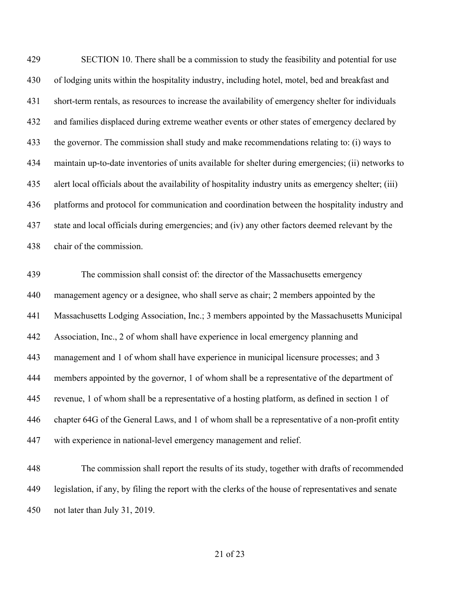SECTION 10. There shall be a commission to study the feasibility and potential for use of lodging units within the hospitality industry, including hotel, motel, bed and breakfast and short-term rentals, as resources to increase the availability of emergency shelter for individuals and families displaced during extreme weather events or other states of emergency declared by the governor. The commission shall study and make recommendations relating to: (i) ways to maintain up-to-date inventories of units available for shelter during emergencies; (ii) networks to alert local officials about the availability of hospitality industry units as emergency shelter; (iii) platforms and protocol for communication and coordination between the hospitality industry and state and local officials during emergencies; and (iv) any other factors deemed relevant by the chair of the commission.

 The commission shall consist of: the director of the Massachusetts emergency management agency or a designee, who shall serve as chair; 2 members appointed by the Massachusetts Lodging Association, Inc.; 3 members appointed by the Massachusetts Municipal Association, Inc., 2 of whom shall have experience in local emergency planning and management and 1 of whom shall have experience in municipal licensure processes; and 3 members appointed by the governor, 1 of whom shall be a representative of the department of revenue, 1 of whom shall be a representative of a hosting platform, as defined in section 1 of chapter 64G of the General Laws, and 1 of whom shall be a representative of a non-profit entity with experience in national-level emergency management and relief.

 The commission shall report the results of its study, together with drafts of recommended legislation, if any, by filing the report with the clerks of the house of representatives and senate not later than July 31, 2019.